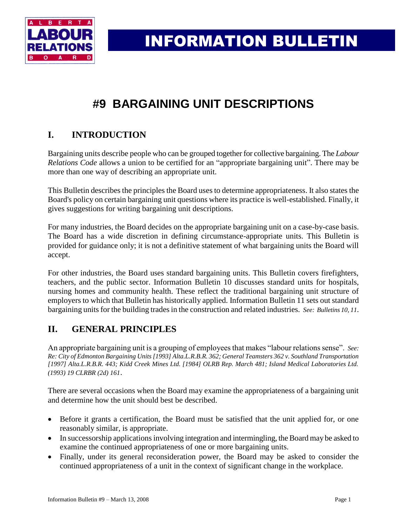

INFORMATION BULLETIN

# **#9 BARGAINING UNIT DESCRIPTIONS**

# **I. INTRODUCTION**

Bargaining units describe people who can be grouped together for collective bargaining. The *Labour Relations Code* allows a union to be certified for an "appropriate bargaining unit". There may be more than one way of describing an appropriate unit.

This Bulletin describes the principles the Board uses to determine appropriateness. It also states the Board's policy on certain bargaining unit questions where its practice is well-established. Finally, it gives suggestions for writing bargaining unit descriptions.

For many industries, the Board decides on the appropriate bargaining unit on a case-by-case basis. The Board has a wide discretion in defining circumstance-appropriate units. This Bulletin is provided for guidance only; it is not a definitive statement of what bargaining units the Board will accept.

For other industries, the Board uses standard bargaining units. This Bulletin covers firefighters, teachers, and the public sector. Information Bulletin 10 discusses standard units for hospitals, nursing homes and community health. These reflect the traditional bargaining unit structure of employers to which that Bulletin has historically applied. Information Bulletin 11 sets out standard bargaining units for the building trades in the construction and related industries. *See: Bulletins 10, 11*.

# **II. GENERAL PRINCIPLES**

An appropriate bargaining unit is a grouping of employees that makes "labour relations sense". *See: Re: City of Edmonton Bargaining Units [1993] Alta.L.R.B.R. 362; General Teamsters 362 v. Southland Transportation [1997] Alta.L.R.B.R. 443; Kidd Creek Mines Ltd. [1984] OLRB Rep. March 481; Island Medical Laboratories Ltd. (1993) 19 CLRBR (2d) 161*.

There are several occasions when the Board may examine the appropriateness of a bargaining unit and determine how the unit should best be described.

- Before it grants a certification, the Board must be satisfied that the unit applied for, or one reasonably similar, is appropriate.
- In successorship applications involving integration and intermingling, the Board may be asked to examine the continued appropriateness of one or more bargaining units.
- Finally, under its general reconsideration power, the Board may be asked to consider the continued appropriateness of a unit in the context of significant change in the workplace.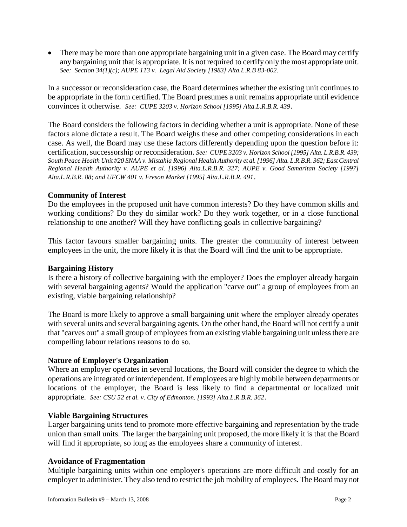• There may be more than one appropriate bargaining unit in a given case. The Board may certify any bargaining unit that is appropriate. It is not required to certify only the most appropriate unit. *See: Section 34(1)(c); AUPE 113 v. Legal Aid Society [1983] Alta.L.R.B 83-002.*

In a successor or reconsideration case, the Board determines whether the existing unit continues to be appropriate in the form certified. The Board presumes a unit remains appropriate until evidence convinces it otherwise. *See: CUPE 3203 v. Horizon School [1995] Alta.L.R.B.R. 439*.

The Board considers the following factors in deciding whether a unit is appropriate. None of these factors alone dictate a result. The Board weighs these and other competing considerations in each case. As well, the Board may use these factors differently depending upon the question before it: certification, successorship or reconsideration. *See: CUPE 3203 v. Horizon School [1995] Alta. L.R.B.R. 439; South Peace Health Unit #20 SNAA v. Mistahia Regional Health Authority et al. [1996] Alta. L.R.B.R. 362; East Central Regional Health Authority v. AUPE et al. [1996] Alta.L.R.B.R. 327; AUPE v. Good Samaritan Society [1997] Alta.L.R.B.R. 88; and UFCW 401 v. Freson Market [1995] Alta.L.R.B.R. 491*.

### **Community of Interest**

Do the employees in the proposed unit have common interests? Do they have common skills and working conditions? Do they do similar work? Do they work together, or in a close functional relationship to one another? Will they have conflicting goals in collective bargaining?

This factor favours smaller bargaining units. The greater the community of interest between employees in the unit, the more likely it is that the Board will find the unit to be appropriate.

### **Bargaining History**

Is there a history of collective bargaining with the employer? Does the employer already bargain with several bargaining agents? Would the application "carve out" a group of employees from an existing, viable bargaining relationship?

The Board is more likely to approve a small bargaining unit where the employer already operates with several units and several bargaining agents. On the other hand, the Board will not certify a unit that "carves out" a small group of employees from an existing viable bargaining unit unless there are compelling labour relations reasons to do so.

### **Nature of Employer's Organization**

Where an employer operates in several locations, the Board will consider the degree to which the operations are integrated or interdependent. If employees are highly mobile between departments or locations of the employer, the Board is less likely to find a departmental or localized unit appropriate. *See: CSU 52 et al. v. City of Edmonton. [1993] Alta.L.R.B.R. 362*.

### **Viable Bargaining Structures**

Larger bargaining units tend to promote more effective bargaining and representation by the trade union than small units. The larger the bargaining unit proposed, the more likely it is that the Board will find it appropriate, so long as the employees share a community of interest.

### **Avoidance of Fragmentation**

Multiple bargaining units within one employer's operations are more difficult and costly for an employer to administer. They also tend to restrict the job mobility of employees. The Board may not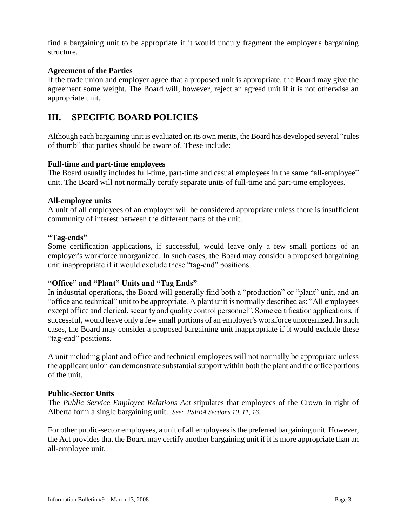find a bargaining unit to be appropriate if it would unduly fragment the employer's bargaining structure.

### **Agreement of the Parties**

If the trade union and employer agree that a proposed unit is appropriate, the Board may give the agreement some weight. The Board will, however, reject an agreed unit if it is not otherwise an appropriate unit.

## **III. SPECIFIC BOARD POLICIES**

Although each bargaining unit is evaluated on its own merits, the Board has developed several "rules of thumb" that parties should be aware of. These include:

### **Full-time and part-time employees**

The Board usually includes full-time, part-time and casual employees in the same "all-employee" unit. The Board will not normally certify separate units of full-time and part-time employees.

### **All-employee units**

A unit of all employees of an employer will be considered appropriate unless there is insufficient community of interest between the different parts of the unit.

#### **"Tag-ends"**

Some certification applications, if successful, would leave only a few small portions of an employer's workforce unorganized. In such cases, the Board may consider a proposed bargaining unit inappropriate if it would exclude these "tag-end" positions.

### **"Office" and "Plant" Units and "Tag Ends"**

In industrial operations, the Board will generally find both a "production" or "plant" unit, and an "office and technical" unit to be appropriate. A plant unit is normally described as: "All employees except office and clerical, security and quality control personnel". Some certification applications, if successful, would leave only a few small portions of an employer's workforce unorganized. In such cases, the Board may consider a proposed bargaining unit inappropriate if it would exclude these "tag-end" positions.

A unit including plant and office and technical employees will not normally be appropriate unless the applicant union can demonstrate substantial support within both the plant and the office portions of the unit.

### **Public-Sector Units**

The *Public Service Employee Relations Act* stipulates that employees of the Crown in right of Alberta form a single bargaining unit. *See: PSERA Sections 10, 11, 16*.

For other public-sector employees, a unit of all employees is the preferred bargaining unit. However, the Act provides that the Board may certify another bargaining unit if it is more appropriate than an all-employee unit.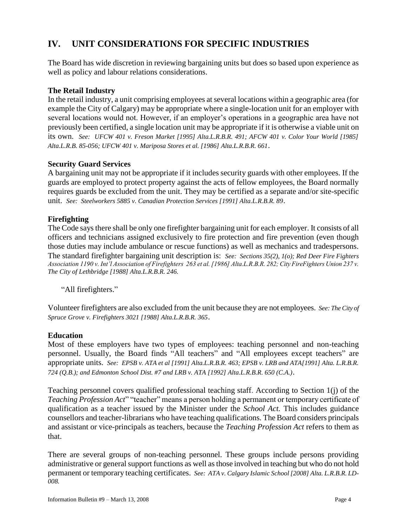# **IV. UNIT CONSIDERATIONS FOR SPECIFIC INDUSTRIES**

The Board has wide discretion in reviewing bargaining units but does so based upon experience as well as policy and labour relations considerations.

### **The Retail Industry**

In the retail industry, a unit comprising employees at several locations within a geographic area (for example the City of Calgary) may be appropriate where a single-location unit for an employer with several locations would not. However, if an employer's operations in a geographic area have not previously been certified, a single location unit may be appropriate if it is otherwise a viable unit on its own. *See: UFCW 401 v. Freson Market [1995] Alta.L.R.B.R. 491; AFCW 401 v. Color Your World [1985] Alta.L.R.B. 85-056; UFCW 401 v. Mariposa Stores et al. [1986] Alta.L.R.B.R. 661*.

### **Security Guard Services**

A bargaining unit may not be appropriate if it includes security guards with other employees. If the guards are employed to protect property against the acts of fellow employees, the Board normally requires guards be excluded from the unit. They may be certified as a separate and/or site-specific unit. *See: Steelworkers 5885 v. Canadian Protection Services [1991] Alta.L.R.B.R. 89*.

### **Firefighting**

The Code says there shall be only one firefighter bargaining unit for each employer. It consists of all officers and technicians assigned exclusively to fire protection and fire prevention (even though those duties may include ambulance or rescue functions) as well as mechanics and tradespersons. The standard firefighter bargaining unit description is: *See: Sections 35(2), 1(o); Red Deer Fire Fighters Association 1190 v. Int'l Association of Firefighters 263 et al. [1986] Alta.L.R.B.R. 282; City FireFighters Union 237 v. The City of Lethbridge [1988] Alta.L.R.B.R. 246.*

"All firefighters."

Volunteer firefighters are also excluded from the unit because they are not employees. *See: The City of Spruce Grove v. Firefighters 3021 [1988] Alta.L.R.B.R. 365*.

### **Education**

Most of these employers have two types of employees: teaching personnel and non-teaching personnel. Usually, the Board finds "All teachers" and "All employees except teachers" are appropriate units. *See: EPSB v. ATA et al [1991] Alta.L.R.B.R. 463; EPSB v. LRB and ATA[1991] Alta. L.R.B.R. 724 (Q.B.); and Edmonton School Dist. #7 and LRB v. ATA [1992] Alta.L.R.B.R. 650 (C.A.)*.

Teaching personnel covers qualified professional teaching staff. According to Section 1(j) of the *Teaching Profession Act*" "teacher" means a person holding a permanent or temporary certificate of qualification as a teacher issued by the Minister under the *School Act.* This includes guidance counsellors and teacher-librarians who have teaching qualifications. The Board considers principals and assistant or vice-principals as teachers, because the *Teaching Profession Act* refers to them as that.

There are several groups of non-teaching personnel. These groups include persons providing administrative or general support functions as well as those involved in teaching but who do not hold permanent or temporary teaching certificates. *See: ATA v. Calgary Islamic School [2008] Alta. L.R.B.R. LD-008.*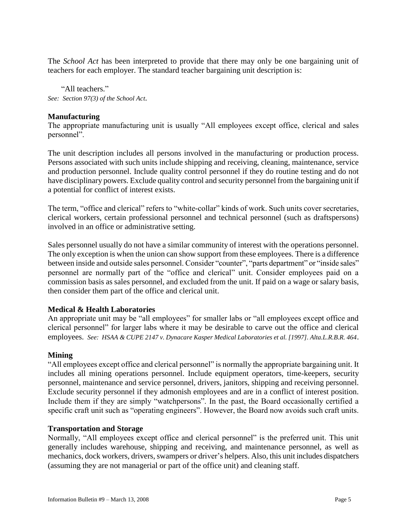The *School Act* has been interpreted to provide that there may only be one bargaining unit of teachers for each employer. The standard teacher bargaining unit description is:

"All teachers." *See: Section 97(3) of the School Act*.

### **Manufacturing**

The appropriate manufacturing unit is usually "All employees except office, clerical and sales personnel".

The unit description includes all persons involved in the manufacturing or production process. Persons associated with such units include shipping and receiving, cleaning, maintenance, service and production personnel. Include quality control personnel if they do routine testing and do not have disciplinary powers. Exclude quality control and security personnel from the bargaining unit if a potential for conflict of interest exists.

The term, "office and clerical" refers to "white-collar" kinds of work. Such units cover secretaries, clerical workers, certain professional personnel and technical personnel (such as draftspersons) involved in an office or administrative setting.

Sales personnel usually do not have a similar community of interest with the operations personnel. The only exception is when the union can show support from these employees. There is a difference between inside and outside sales personnel. Consider "counter", "parts department" or "inside sales" personnel are normally part of the "office and clerical" unit. Consider employees paid on a commission basis as sales personnel, and excluded from the unit. If paid on a wage or salary basis, then consider them part of the office and clerical unit.

### **Medical & Health Laboratories**

An appropriate unit may be "all employees" for smaller labs or "all employees except office and clerical personnel" for larger labs where it may be desirable to carve out the office and clerical employees. *See: HSAA & CUPE 2147 v. Dynacare Kasper Medical Laboratories et al. [1997]. Alta.L.R.B.R. 464*.

### **Mining**

"All employees except office and clerical personnel" is normally the appropriate bargaining unit. It includes all mining operations personnel. Include equipment operators, time-keepers, security personnel, maintenance and service personnel, drivers, janitors, shipping and receiving personnel. Exclude security personnel if they admonish employees and are in a conflict of interest position. Include them if they are simply "watchpersons". In the past, the Board occasionally certified a specific craft unit such as "operating engineers". However, the Board now avoids such craft units.

### **Transportation and Storage**

Normally, "All employees except office and clerical personnel" is the preferred unit. This unit generally includes warehouse, shipping and receiving, and maintenance personnel, as well as mechanics, dock workers, drivers, swampers or driver's helpers. Also, this unit includes dispatchers (assuming they are not managerial or part of the office unit) and cleaning staff.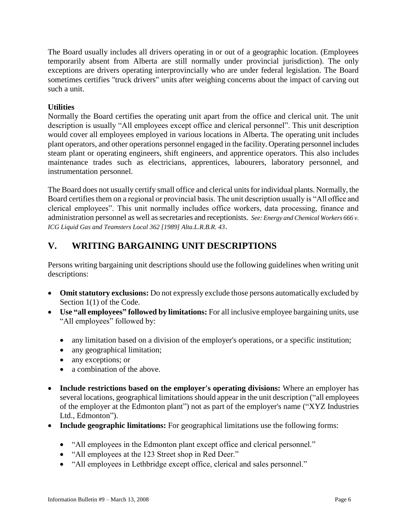The Board usually includes all drivers operating in or out of a geographic location. (Employees temporarily absent from Alberta are still normally under provincial jurisdiction). The only exceptions are drivers operating interprovincially who are under federal legislation. The Board sometimes certifies "truck drivers" units after weighing concerns about the impact of carving out such a unit.

### **Utilities**

Normally the Board certifies the operating unit apart from the office and clerical unit. The unit description is usually "All employees except office and clerical personnel". This unit description would cover all employees employed in various locations in Alberta. The operating unit includes plant operators, and other operations personnel engaged in the facility. Operating personnel includes steam plant or operating engineers, shift engineers, and apprentice operators. This also includes maintenance trades such as electricians, apprentices, labourers, laboratory personnel, and instrumentation personnel.

The Board does not usually certify small office and clerical units for individual plants. Normally, the Board certifies them on a regional or provincial basis. The unit description usually is "All office and clerical employees". This unit normally includes office workers, data processing, finance and administration personnel as well as secretaries and receptionists. *See: Energy and Chemical Workers 666 v. ICG Liquid Gas and Teamsters Local 362 [1989] Alta.L.R.B.R. 43*.

# **V. WRITING BARGAINING UNIT DESCRIPTIONS**

Persons writing bargaining unit descriptions should use the following guidelines when writing unit descriptions:

- **Omit statutory exclusions:** Do not expressly exclude those persons automatically excluded by Section 1(1) of the Code.
- **Use "all employees" followed by limitations:** For all inclusive employee bargaining units, use "All employees" followed by:
	- any limitation based on a division of the employer's operations, or a specific institution;
	- any geographical limitation;
	- any exceptions; or
	- a combination of the above.
- **Include restrictions based on the employer's operating divisions:** Where an employer has several locations, geographical limitations should appear in the unit description ("all employees of the employer at the Edmonton plant") not as part of the employer's name ("XYZ Industries Ltd., Edmonton").
- **Include geographic limitations:** For geographical limitations use the following forms:
	- "All employees in the Edmonton plant except office and clerical personnel."
	- "All employees at the 123 Street shop in Red Deer."
	- "All employees in Lethbridge except office, clerical and sales personnel."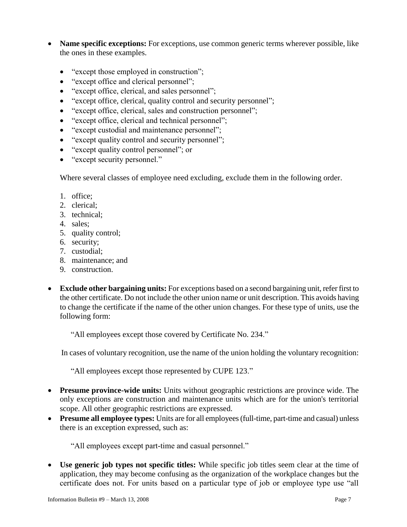- Name specific exceptions: For exceptions, use common generic terms wherever possible, like the ones in these examples.
	- "except those employed in construction";
	- "except office and clerical personnel";
	- "except office, clerical, and sales personnel";
	- "except office, clerical, quality control and security personnel";
	- "except office, clerical, sales and construction personnel";
	- "except office, clerical and technical personnel";
	- "except custodial and maintenance personnel";
	- "except quality control and security personnel";
	- "except quality control personnel"; or
	- "except security personnel."

Where several classes of employee need excluding, exclude them in the following order.

- 1. office;
- 2. clerical;
- 3. technical;
- 4. sales;
- 5. quality control;
- 6. security;
- 7. custodial;
- 8. maintenance; and
- 9. construction.
- **Exclude other bargaining units:** For exceptions based on a second bargaining unit, refer first to the other certificate. Do not include the other union name or unit description. This avoids having to change the certificate if the name of the other union changes. For these type of units, use the following form:

"All employees except those covered by Certificate No. 234."

In cases of voluntary recognition, use the name of the union holding the voluntary recognition:

"All employees except those represented by CUPE 123."

- **Presume province-wide units:** Units without geographic restrictions are province wide. The only exceptions are construction and maintenance units which are for the union's territorial scope. All other geographic restrictions are expressed.
- **Presume all employee types:** Units are for all employees (full-time, part-time and casual) unless there is an exception expressed, such as:

"All employees except part-time and casual personnel."

 **Use generic job types not specific titles:** While specific job titles seem clear at the time of application, they may become confusing as the organization of the workplace changes but the certificate does not. For units based on a particular type of job or employee type use "all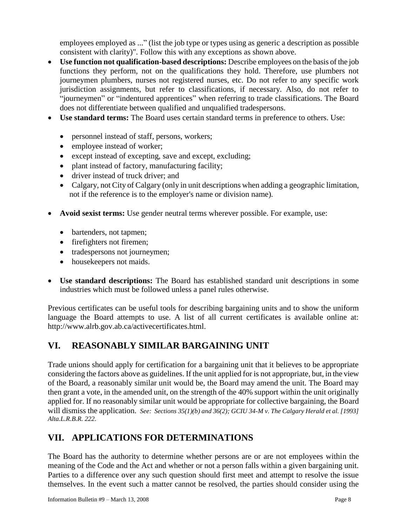employees employed as ..." (list the job type or types using as generic a description as possible consistent with clarity)". Follow this with any exceptions as shown above.

- **Use function not qualification-based descriptions:** Describe employees on the basis of the job functions they perform, not on the qualifications they hold. Therefore, use plumbers not journeymen plumbers, nurses not registered nurses, etc. Do not refer to any specific work jurisdiction assignments, but refer to classifications, if necessary. Also, do not refer to "journeymen" or "indentured apprentices" when referring to trade classifications. The Board does not differentiate between qualified and unqualified tradespersons.
- **Use standard terms:** The Board uses certain standard terms in preference to others. Use:
	- personnel instead of staff, persons, workers;
	- employee instead of worker;
	- except instead of excepting, save and except, excluding;
	- plant instead of factory, manufacturing facility;
	- driver instead of truck driver; and
	- Calgary, not City of Calgary (only in unit descriptions when adding a geographic limitation, not if the reference is to the employer's name or division name).
- **Avoid sexist terms:** Use gender neutral terms wherever possible. For example, use:
	- bartenders, not tapmen;
	- firefighters not firemen;
	- tradespersons not journeymen;
	- housekeepers not maids.
- **Use standard descriptions:** The Board has established standard unit descriptions in some industries which must be followed unless a panel rules otherwise.

Previous certificates can be useful tools for describing bargaining units and to show the uniform language the Board attempts to use. A list of all current certificates is available online at: [http://www.alrb.gov.ab.ca/activecertificates.html.](http://www3.gov.ab.ca/alrb/activecertificates.html)

# **VI. REASONABLY SIMILAR BARGAINING UNIT**

Trade unions should apply for certification for a bargaining unit that it believes to be appropriate considering the factors above as guidelines. If the unit applied for is not appropriate, but, in the view of the Board, a reasonably similar unit would be, the Board may amend the unit. The Board may then grant a vote, in the amended unit, on the strength of the 40% support within the unit originally applied for. If no reasonably similar unit would be appropriate for collective bargaining, the Board will dismiss the application. *See: Sections 35(1)(b) and 36(2); GCIU 34-M v. The Calgary Herald et al. [1993] Alta.L.R.B.R. 222.*

# **VII. APPLICATIONS FOR DETERMINATIONS**

The Board has the authority to determine whether persons are or are not employees within the meaning of the Code and the Act and whether or not a person falls within a given bargaining unit. Parties to a difference over any such question should first meet and attempt to resolve the issue themselves. In the event such a matter cannot be resolved, the parties should consider using the